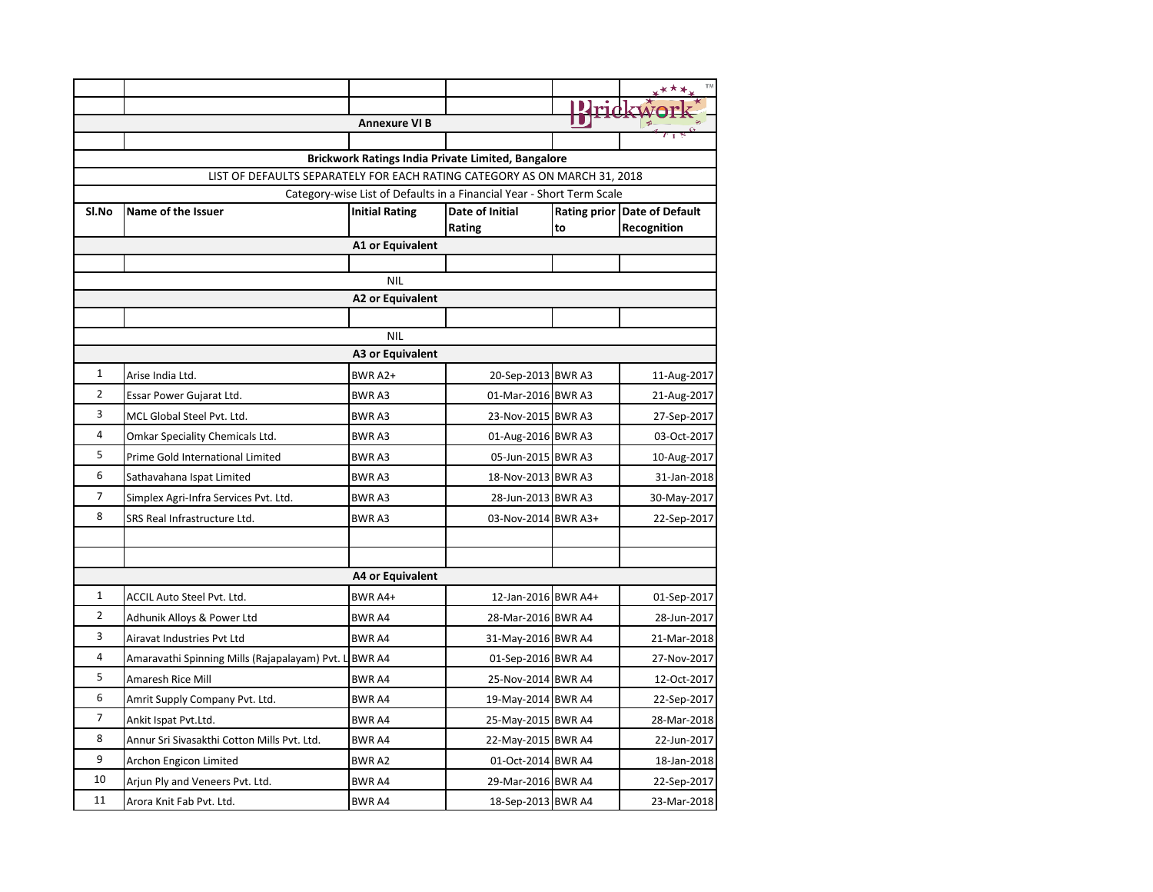|                | <b>Annexure VI B</b>                                                      |                         |                           |    |                                             |  |  |  |  |
|----------------|---------------------------------------------------------------------------|-------------------------|---------------------------|----|---------------------------------------------|--|--|--|--|
|                |                                                                           |                         |                           |    |                                             |  |  |  |  |
|                | <b>Brickwork Ratings India Private Limited, Bangalore</b>                 |                         |                           |    |                                             |  |  |  |  |
|                | LIST OF DEFAULTS SEPARATELY FOR EACH RATING CATEGORY AS ON MARCH 31, 2018 |                         |                           |    |                                             |  |  |  |  |
|                | Category-wise List of Defaults in a Financial Year - Short Term Scale     |                         |                           |    |                                             |  |  |  |  |
| Sl.No          | Name of the Issuer                                                        | <b>Initial Rating</b>   | Date of Initial<br>Rating | to | Rating prior Date of Default<br>Recognition |  |  |  |  |
|                |                                                                           | A1 or Equivalent        |                           |    |                                             |  |  |  |  |
|                |                                                                           |                         |                           |    |                                             |  |  |  |  |
|                |                                                                           | <b>NIL</b>              |                           |    |                                             |  |  |  |  |
|                |                                                                           | <b>A2 or Equivalent</b> |                           |    |                                             |  |  |  |  |
|                |                                                                           |                         |                           |    |                                             |  |  |  |  |
|                |                                                                           | <b>NIL</b>              |                           |    |                                             |  |  |  |  |
|                |                                                                           | <b>A3 or Equivalent</b> |                           |    |                                             |  |  |  |  |
| $\mathbf{1}$   | Arise India Ltd.                                                          | BWR A2+                 | 20-Sep-2013 BWR A3        |    | 11-Aug-2017                                 |  |  |  |  |
| $\overline{2}$ | Essar Power Gujarat Ltd.                                                  | <b>BWRA3</b>            | 01-Mar-2016 BWR A3        |    | 21-Aug-2017                                 |  |  |  |  |
| 3              | MCL Global Steel Pvt. Ltd.                                                | <b>BWRA3</b>            | 23-Nov-2015 BWR A3        |    | 27-Sep-2017                                 |  |  |  |  |
| 4              | Omkar Speciality Chemicals Ltd.                                           | <b>BWRA3</b>            | 01-Aug-2016 BWR A3        |    | 03-Oct-2017                                 |  |  |  |  |
| 5              | Prime Gold International Limited                                          | <b>BWRA3</b>            | 05-Jun-2015 BWR A3        |    | 10-Aug-2017                                 |  |  |  |  |
| 6              | Sathavahana Ispat Limited                                                 | <b>BWRA3</b>            | 18-Nov-2013 BWR A3        |    | 31-Jan-2018                                 |  |  |  |  |
| 7              | Simplex Agri-Infra Services Pvt. Ltd.                                     | <b>BWRA3</b>            | 28-Jun-2013 BWR A3        |    | 30-May-2017                                 |  |  |  |  |
| 8              | SRS Real Infrastructure Ltd.                                              | <b>BWRA3</b>            | 03-Nov-2014 BWR A3+       |    | 22-Sep-2017                                 |  |  |  |  |
|                |                                                                           |                         |                           |    |                                             |  |  |  |  |
|                |                                                                           |                         |                           |    |                                             |  |  |  |  |
|                |                                                                           | <b>A4 or Equivalent</b> |                           |    |                                             |  |  |  |  |
| 1              | ACCIL Auto Steel Pvt. Ltd.                                                | BWR A4+                 | 12-Jan-2016 BWR A4+       |    | 01-Sep-2017                                 |  |  |  |  |
| $\overline{2}$ | Adhunik Alloys & Power Ltd                                                | <b>BWR A4</b>           | 28-Mar-2016 BWR A4        |    | 28-Jun-2017                                 |  |  |  |  |
| 3              | Airavat Industries Pvt Ltd                                                | <b>BWR A4</b>           | 31-May-2016 BWR A4        |    | 21-Mar-2018                                 |  |  |  |  |
| 4              | Amaravathi Spinning Mills (Rajapalayam) Pvt. L                            | <b>BWR A4</b>           | 01-Sep-2016 BWR A4        |    | 27-Nov-2017                                 |  |  |  |  |
| 5              | Amaresh Rice Mill                                                         | <b>BWR A4</b>           | 25-Nov-2014 BWR A4        |    | 12-Oct-2017                                 |  |  |  |  |
| 6              | Amrit Supply Company Pvt. Ltd.                                            | <b>BWR A4</b>           | 19-May-2014 BWR A4        |    | 22-Sep-2017                                 |  |  |  |  |
| 7              | Ankit Ispat Pvt.Ltd.                                                      | <b>BWR A4</b>           | 25-May-2015 BWR A4        |    | 28-Mar-2018                                 |  |  |  |  |
| 8              | Annur Sri Sivasakthi Cotton Mills Pvt. Ltd.                               | <b>BWR A4</b>           | 22-May-2015 BWR A4        |    | 22-Jun-2017                                 |  |  |  |  |
| 9              | Archon Engicon Limited                                                    | <b>BWRA2</b>            | 01-Oct-2014 BWR A4        |    | 18-Jan-2018                                 |  |  |  |  |
| 10             | Arjun Ply and Veneers Pvt. Ltd.                                           | <b>BWRA4</b>            | 29-Mar-2016 BWR A4        |    | 22-Sep-2017                                 |  |  |  |  |
| 11             | Arora Knit Fab Pvt. Ltd.                                                  | <b>BWR A4</b>           | 18-Sep-2013 BWR A4        |    | 23-Mar-2018                                 |  |  |  |  |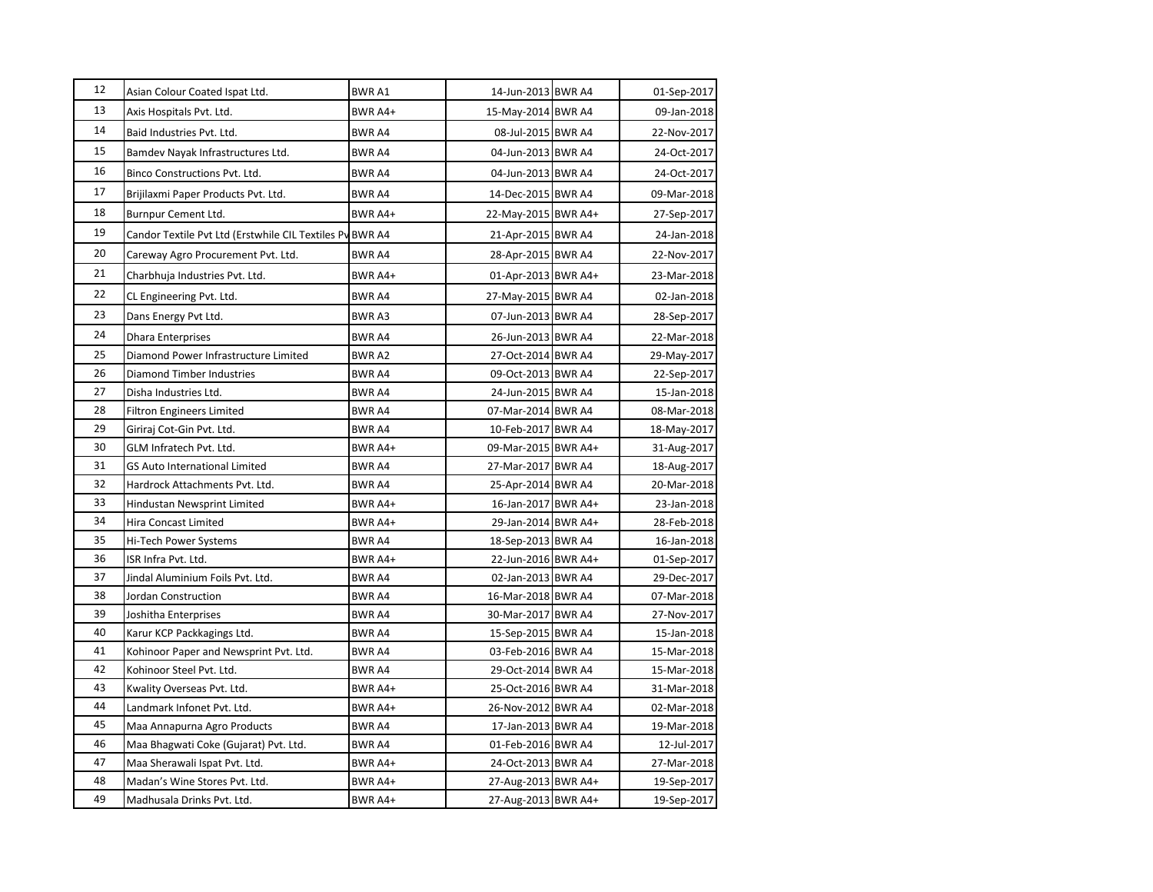| 12 | Asian Colour Coated Ispat Ltd.                            | <b>BWRA1</b>            | 14-Jun-2013 BWR A4                       | 01-Sep-2017                |
|----|-----------------------------------------------------------|-------------------------|------------------------------------------|----------------------------|
| 13 | Axis Hospitals Pvt. Ltd.                                  | BWR A4+                 | 15-May-2014 BWR A4                       | 09-Jan-2018                |
| 14 | Baid Industries Pvt. Ltd.                                 | BWR A4                  | 08-Jul-2015 BWR A4                       | 22-Nov-2017                |
| 15 | Bamdev Nayak Infrastructures Ltd.                         | <b>BWRA4</b>            | 04-Jun-2013 BWR A4                       | 24-Oct-2017                |
| 16 | Binco Constructions Pvt. Ltd.                             | <b>BWR A4</b>           | 04-Jun-2013 BWR A4                       | 24-Oct-2017                |
| 17 | Brijilaxmi Paper Products Pvt. Ltd.                       | BWR A4                  | 14-Dec-2015 BWR A4                       | 09-Mar-2018                |
| 18 | Burnpur Cement Ltd.                                       | BWR A4+                 | 22-May-2015 BWR A4+                      | 27-Sep-2017                |
| 19 | Candor Textile Pvt Ltd (Erstwhile CIL Textiles Pv BWR A4  |                         | 21-Apr-2015 BWR A4                       | 24-Jan-2018                |
| 20 | Careway Agro Procurement Pvt. Ltd.                        | <b>BWR A4</b>           | 28-Apr-2015 BWR A4                       | 22-Nov-2017                |
| 21 | Charbhuja Industries Pvt. Ltd.                            | BWR A4+                 | 01-Apr-2013 BWR A4+                      | 23-Mar-2018                |
| 22 | CL Engineering Pvt. Ltd.                                  | BWR A4                  | 27-May-2015 BWR A4                       | 02-Jan-2018                |
| 23 |                                                           |                         |                                          |                            |
| 24 | Dans Energy Pvt Ltd.                                      | BWR A3                  | 07-Jun-2013 BWR A4                       | 28-Sep-2017                |
| 25 | <b>Dhara Enterprises</b>                                  | <b>BWR A4</b>           | 26-Jun-2013 BWR A4                       | 22-Mar-2018                |
| 26 | Diamond Power Infrastructure Limited                      | BWR A2                  | 27-Oct-2014 BWR A4                       | 29-May-2017                |
| 27 | Diamond Timber Industries                                 | BWR A4                  | 09-Oct-2013 BWR A4                       | 22-Sep-2017                |
| 28 | Disha Industries Ltd.<br><b>Filtron Engineers Limited</b> | <b>BWR A4</b><br>BWR A4 | 24-Jun-2015 BWR A4<br>07-Mar-2014 BWR A4 | 15-Jan-2018<br>08-Mar-2018 |
| 29 | Giriraj Cot-Gin Pvt. Ltd.                                 | BWR A4                  | 10-Feb-2017 BWR A4                       | 18-May-2017                |
| 30 | GLM Infratech Pvt. Ltd.                                   | BWR A4+                 | 09-Mar-2015 BWR A4+                      | 31-Aug-2017                |
| 31 | GS Auto International Limited                             | <b>BWR A4</b>           | 27-Mar-2017 BWR A4                       | 18-Aug-2017                |
| 32 | Hardrock Attachments Pvt. Ltd.                            | BWR A4                  | 25-Apr-2014 BWR A4                       | 20-Mar-2018                |
| 33 | Hindustan Newsprint Limited                               | BWR A4+                 | 16-Jan-2017 BWR A4+                      | 23-Jan-2018                |
| 34 | Hira Concast Limited                                      | BWR A4+                 | 29-Jan-2014 BWR A4+                      | 28-Feb-2018                |
| 35 | Hi-Tech Power Systems                                     | BWR A4                  | 18-Sep-2013 BWR A4                       | 16-Jan-2018                |
| 36 | ISR Infra Pvt. Ltd.                                       | BWR A4+                 | 22-Jun-2016 BWR A4+                      | 01-Sep-2017                |
| 37 | Jindal Aluminium Foils Pvt. Ltd.                          | <b>BWR A4</b>           | 02-Jan-2013 BWR A4                       | 29-Dec-2017                |
| 38 | Jordan Construction                                       | BWR A4                  | 16-Mar-2018 BWR A4                       | 07-Mar-2018                |
| 39 | Joshitha Enterprises                                      | BWR A4                  | 30-Mar-2017 BWR A4                       | 27-Nov-2017                |
| 40 | Karur KCP Packkagings Ltd.                                | <b>BWR A4</b>           | 15-Sep-2015 BWR A4                       | 15-Jan-2018                |
| 41 | Kohinoor Paper and Newsprint Pvt. Ltd.                    | <b>BWR A4</b>           | 03-Feb-2016 BWR A4                       | 15-Mar-2018                |
| 42 | Kohinoor Steel Pvt. Ltd.                                  | <b>BWR A4</b>           | 29-Oct-2014 BWR A4                       | 15-Mar-2018                |
| 43 | Kwality Overseas Pvt. Ltd.                                | BWR A4+                 | 25-Oct-2016 BWR A4                       | 31-Mar-2018                |
| 44 | Landmark Infonet Pvt. Ltd.                                | BWR A4+                 | 26-Nov-2012 BWR A4                       | 02-Mar-2018                |
| 45 | Maa Annapurna Agro Products                               | BWR A4                  | 17-Jan-2013 BWR A4                       | 19-Mar-2018                |
| 46 | Maa Bhagwati Coke (Gujarat) Pvt. Ltd.                     | <b>BWR A4</b>           | 01-Feb-2016 BWR A4                       | 12-Jul-2017                |
| 47 | Maa Sherawali Ispat Pvt. Ltd.                             | BWR A4+                 | 24-Oct-2013 BWR A4                       | 27-Mar-2018                |
| 48 | Madan's Wine Stores Pvt. Ltd.                             | BWR A4+                 | 27-Aug-2013 BWR A4+                      | 19-Sep-2017                |
| 49 | Madhusala Drinks Pvt. Ltd.                                | BWR A4+                 | 27-Aug-2013 BWR A4+                      | 19-Sep-2017                |